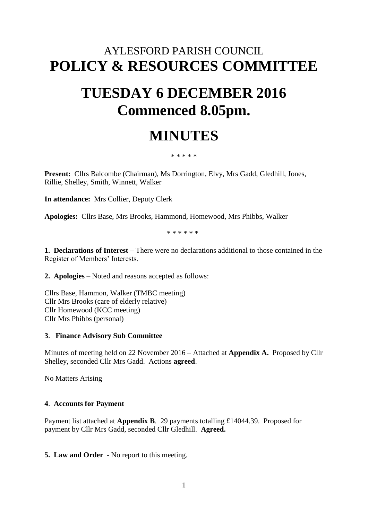## AYLESFORD PARISH COUNCIL **POLICY & RESOURCES COMMITTEE**

# **TUESDAY 6 DECEMBER 2016 Commenced 8.05pm.**

# **MINUTES**

\* \* \* \* \*

**Present:** Cllrs Balcombe (Chairman), Ms Dorrington, Elvy, Mrs Gadd, Gledhill, Jones, Rillie, Shelley, Smith, Winnett, Walker

**In attendance:** Mrs Collier, Deputy Clerk

**Apologies:** Cllrs Base, Mrs Brooks, Hammond, Homewood, Mrs Phibbs, Walker

\* \* \* \* \* \*

**1. Declarations of Interest** – There were no declarations additional to those contained in the Register of Members' Interests.

**2. Apologies** – Noted and reasons accepted as follows:

Cllrs Base, Hammon, Walker (TMBC meeting) Cllr Mrs Brooks (care of elderly relative) Cllr Homewood (KCC meeting) Cllr Mrs Phibbs (personal)

#### **3**. **Finance Advisory Sub Committee**

Minutes of meeting held on 22 November 2016 – Attached at **Appendix A.** Proposed by Cllr Shelley, seconded Cllr Mrs Gadd. Actions **agreed**.

No Matters Arising

#### **4**. **Accounts for Payment**

Payment list attached at **Appendix B**. 29 payments totalling £14044.39. Proposed for payment by Cllr Mrs Gadd, seconded Cllr Gledhill. **Agreed.**

**5. Law and Order** - No report to this meeting.